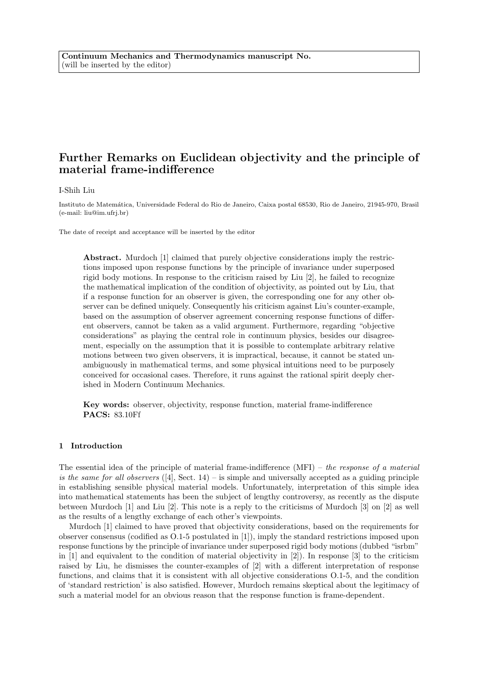# Further Remarks on Euclidean objectivity and the principle of material frame-indifference

I-Shih Liu

Instituto de Matem´atica, Universidade Federal do Rio de Janeiro, Caixa postal 68530, Rio de Janeiro, 21945-970, Brasil (e-mail: liu@im.ufrj.br)

The date of receipt and acceptance will be inserted by the editor

Abstract. Murdoch [1] claimed that purely objective considerations imply the restrictions imposed upon response functions by the principle of invariance under superposed rigid body motions. In response to the criticism raised by Liu [2], he failed to recognize the mathematical implication of the condition of objectivity, as pointed out by Liu, that if a response function for an observer is given, the corresponding one for any other observer can be defined uniquely. Consequently his criticism against Liu's counter-example, based on the assumption of observer agreement concerning response functions of different observers, cannot be taken as a valid argument. Furthermore, regarding "objective considerations" as playing the central role in continuum physics, besides our disagreement, especially on the assumption that it is possible to contemplate arbitrary relative motions between two given observers, it is impractical, because, it cannot be stated unambiguously in mathematical terms, and some physical intuitions need to be purposely conceived for occasional cases. Therefore, it runs against the rational spirit deeply cherished in Modern Continuum Mechanics.

Key words: observer, objectivity, response function, material frame-indifference PACS: 83.10Ff

## 1 Introduction

The essential idea of the principle of material frame-indifference  $(MFI)$  – the response of a material is the same for all observers  $([4], \text{ Sect. } 14)$  – is simple and universally accepted as a guiding principle in establishing sensible physical material models. Unfortunately, interpretation of this simple idea into mathematical statements has been the subject of lengthy controversy, as recently as the dispute between Murdoch [1] and Liu [2]. This note is a reply to the criticisms of Murdoch [3] on [2] as well as the results of a lengthy exchange of each other's viewpoints.

Murdoch [1] claimed to have proved that objectivity considerations, based on the requirements for observer consensus (codified as O.1-5 postulated in [1]), imply the standard restrictions imposed upon response functions by the principle of invariance under superposed rigid body motions (dubbed "isrbm" in  $[1]$  and equivalent to the condition of material objectivity in  $[2]$ ). In response  $[3]$  to the criticism raised by Liu, he dismisses the counter-examples of [2] with a different interpretation of response functions, and claims that it is consistent with all objective considerations O.1-5, and the condition of 'standard restriction' is also satisfied. However, Murdoch remains skeptical about the legitimacy of such a material model for an obvious reason that the response function is frame-dependent.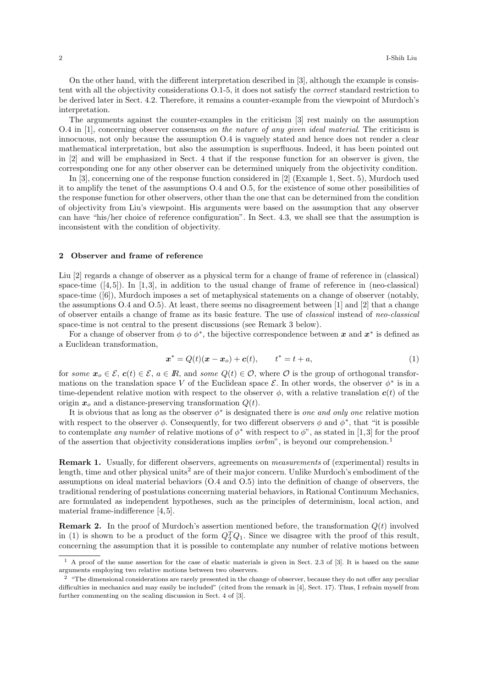On the other hand, with the different interpretation described in [3], although the example is consistent with all the objectivity considerations O.1-5, it does not satisfy the correct standard restriction to be derived later in Sect. 4.2. Therefore, it remains a counter-example from the viewpoint of Murdoch's interpretation.

The arguments against the counter-examples in the criticism [3] rest mainly on the assumption O.4 in [1], concerning observer consensus on the nature of any given ideal material. The criticism is innocuous, not only because the assumption O.4 is vaguely stated and hence does not render a clear mathematical interpretation, but also the assumption is superfluous. Indeed, it has been pointed out in [2] and will be emphasized in Sect. 4 that if the response function for an observer is given, the corresponding one for any other observer can be determined uniquely from the objectivity condition.

In [3], concerning one of the response function considered in [2] (Example 1, Sect. 5), Murdoch used it to amplify the tenet of the assumptions O.4 and O.5, for the existence of some other possibilities of the response function for other observers, other than the one that can be determined from the condition of objectivity from Liu's viewpoint. His arguments were based on the assumption that any observer can have "his/her choice of reference configuration". In Sect. 4.3, we shall see that the assumption is inconsistent with the condition of objectivity.

#### 2 Observer and frame of reference

Liu [2] regards a change of observer as a physical term for a change of frame of reference in (classical) space-time  $([4,5])$ . In [1,3], in addition to the usual change of frame of reference in (neo-classical) space-time ([6]), Murdoch imposes a set of metaphysical statements on a change of observer (notably, the assumptions O.4 and O.5). At least, there seems no disagreement between [1] and [2] that a change of observer entails a change of frame as its basic feature. The use of classical instead of neo-classical space-time is not central to the present discussions (see Remark 3 below).

For a change of observer from  $\phi$  to  $\phi^*$ , the bijective correspondence between x and  $x^*$  is defined as a Euclidean transformation,

$$
x^* = Q(t)(x - x_o) + c(t), \qquad t^* = t + a,
$$
\n(1)

for some  $x_o \in \mathcal{E}$ ,  $c(t) \in \mathcal{E}$ ,  $a \in \mathbb{R}$ , and some  $Q(t) \in \mathcal{O}$ , where  $\mathcal O$  is the group of orthogonal transformations on the translation space V of the Euclidean space  $\mathcal E$ . In other words, the observer  $\phi^*$  is in a time-dependent relative motion with respect to the observer  $\phi$ , with a relative translation  $c(t)$  of the origin  $x_o$  and a distance-preserving transformation  $Q(t)$ .

It is obvious that as long as the observer  $\phi^*$  is designated there is one and only one relative motion with respect to the observer  $\phi$ . Consequently, for two different observers  $\phi$  and  $\phi^*$ , that "it is possible to contemplate any number of relative motions of  $\phi^*$  with respect to  $\phi$ ", as stated in [1,3] for the proof of the assertion that objectivity considerations implies *isrbm*", is beyond our comprehension.<sup>1</sup>

Remark 1. Usually, for different observers, agreements on measurements of (experimental) results in length, time and other physical units<sup>2</sup> are of their major concern. Unlike Murdoch's embodiment of the assumptions on ideal material behaviors (O.4 and O.5) into the definition of change of observers, the traditional rendering of postulations concerning material behaviors, in Rational Continuum Mechanics, are formulated as independent hypotheses, such as the principles of determinism, local action, and material frame-indifference [4,5].

**Remark 2.** In the proof of Murdoch's assertion mentioned before, the transformation  $Q(t)$  involved in (1) is shown to be a product of the form  $Q_2^T Q_1$ . Since we disagree with the proof of this result, concerning the assumption that it is possible to contemplate any number of relative motions between

<sup>1</sup> A proof of the same assertion for the case of elastic materials is given in Sect. 2.3 of [3]. It is based on the same arguments employing two relative motions between two observers.

 $2 \text{ "The dimensional considerations are rarely presented in the change of observer, because they do not offer any peculiar.}$ difficulties in mechanics and may easily be included" (cited from the remark in [4], Sect. 17). Thus, I refrain myself from further commenting on the scaling discussion in Sect. 4 of [3].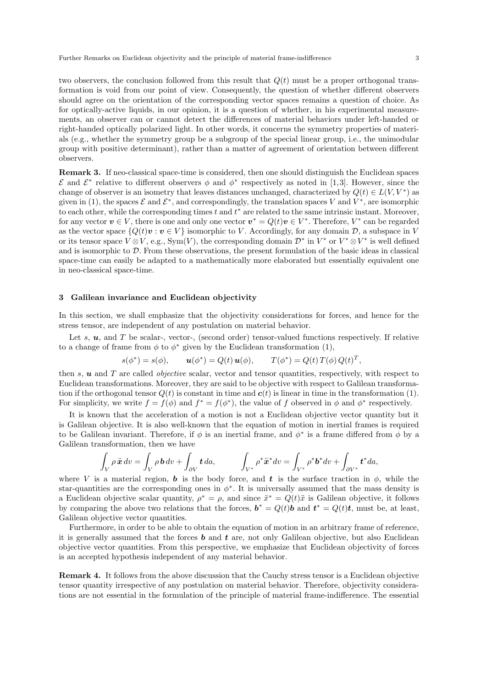two observers, the conclusion followed from this result that  $Q(t)$  must be a proper orthogonal transformation is void from our point of view. Consequently, the question of whether different observers should agree on the orientation of the corresponding vector spaces remains a question of choice. As for optically-active liquids, in our opinion, it is a question of whether, in his experimental measurements, an observer can or cannot detect the differences of material behaviors under left-handed or right-handed optically polarized light. In other words, it concerns the symmetry properties of materials (e.g., whether the symmetry group be a subgroup of the special linear group, i.e., the unimodular group with positive determinant), rather than a matter of agreement of orientation between different observers.

Remark 3. If neo-classical space-time is considered, then one should distinguish the Euclidean spaces  $\mathcal{E}$  and  $\mathcal{E}^*$  relative to different observers  $\phi$  and  $\phi^*$  respectively as noted in [1,3]. However, since the change of observer is an isometry that leaves distances unchanged, characterized by  $Q(t) \in L(V, V^*)$  as given in (1), the spaces  $\mathcal E$  and  $\mathcal E^*$ , and correspondingly, the translation spaces V and  $V^*$ , are isomorphic to each other, while the corresponding times t and  $t^*$  are related to the same intrinsic instant. Moreover, for any vector  $v \in V$ , there is one and only one vector  $v^* = Q(t)v \in V^*$ . Therefore,  $V^*$  can be regarded as the vector space  $\{Q(t)\mathbf{v} : \mathbf{v} \in V\}$  isomorphic to V. Accordingly, for any domain  $\mathcal{D}$ , a subspace in V or its tensor space  $V \otimes V$ , e.g.,  $Sym(V)$ , the corresponding domain  $\mathcal{D}^*$  in  $V^*$  or  $V^* \otimes V^*$  is well defined and is isomorphic to D. From these observations, the present formulation of the basic ideas in classical space-time can easily be adapted to a mathematically more elaborated but essentially equivalent one in neo-classical space-time.

## 3 Galilean invariance and Euclidean objectivity

In this section, we shall emphasize that the objectivity considerations for forces, and hence for the stress tensor, are independent of any postulation on material behavior.

Let s,  $u$ , and T be scalar-, vector-, (second order) tensor-valued functions respectively. If relative to a change of frame from  $\phi$  to  $\phi^*$  given by the Euclidean transformation (1),

$$
s(\phi^*) = s(\phi), \qquad \mathbf{u}(\phi^*) = Q(t)\,\mathbf{u}(\phi), \qquad T(\phi^*) = Q(t)\,T(\phi)\,Q(t)^T,
$$

then  $s$ ,  $u$  and  $T$  are called *objective* scalar, vector and tensor quantities, respectively, with respect to Euclidean transformations. Moreover, they are said to be objective with respect to Galilean transformation if the orthogonal tensor  $Q(t)$  is constant in time and  $c(t)$  is linear in time in the transformation (1). For simplicity, we write  $f = f(\phi)$  and  $f^* = f(\phi^*)$ , the value of f observed in  $\phi$  and  $\phi^*$  respectively.

It is known that the acceleration of a motion is not a Euclidean objective vector quantity but it is Galilean objective. It is also well-known that the equation of motion in inertial frames is required to be Galilean invariant. Therefore, if  $\phi$  is an inertial frame, and  $\phi^*$  is a frame differed from  $\phi$  by a Galilean transformation, then we have

$$
\int_V \rho \ddot{\mathbf{x}} \, dv = \int_V \rho \, \mathbf{b} \, dv + \int_{\partial V} \mathbf{t} \, da, \qquad \int_{V^*} \rho^* \ddot{\mathbf{x}}^* \, dv = \int_{V^*} \rho^* \mathbf{b}^* \, dv + \int_{\partial V^*} \mathbf{t}^* \, da,
$$

where V is a material region, b is the body force, and t is the surface traction in  $\phi$ , while the star-quantities are the corresponding ones in  $\phi^*$ . It is universally assumed that the mass density is a Euclidean objective scalar quantity,  $\rho^* = \rho$ , and since  $\ddot{x}^* = Q(t)\ddot{x}$  is Galilean objective, it follows by comparing the above two relations that the forces,  $\mathbf{b}^* = Q(t)\mathbf{b}$  and  $\mathbf{t}^* = Q(t)\mathbf{t}$ , must be, at least, Galilean objective vector quantities.

Furthermore, in order to be able to obtain the equation of motion in an arbitrary frame of reference, it is generally assumed that the forces  $\boldsymbol{b}$  and  $\boldsymbol{t}$  are, not only Galilean objective, but also Euclidean objective vector quantities. From this perspective, we emphasize that Euclidean objectivity of forces is an accepted hypothesis independent of any material behavior.

Remark 4. It follows from the above discussion that the Cauchy stress tensor is a Euclidean objective tensor quantity irrespective of any postulation on material behavior. Therefore, objectivity considerations are not essential in the formulation of the principle of material frame-indifference. The essential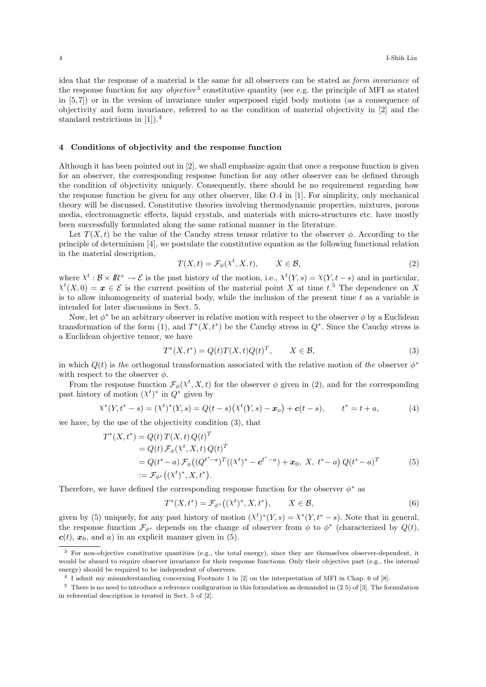idea that the response of a material is the same for all observers can be stated as form invariance of the response function for any *objective*<sup>3</sup> constitutive quantity (see e.g. the principle of MFI as stated in [5,7]) or in the version of invariance under superposed rigid body motions (as a consequence of objectivity and form invariance, referred to as the condition of material objectivity in [2] and the standard restrictions in [1]).<sup>4</sup>

## 4 Conditions of objectivity and the response function

Although it has been pointed out in [2], we shall emphasize again that once a response function is given for an observer, the corresponding response function for any other observer can be defined through the condition of objectivity uniquely. Consequently, there should be no requirement regarding how the response function be given for any other observer, like O.4 in [1]. For simplicity, only mechanical theory will be discussed. Constitutive theories involving thermodynamic properties, mixtures, porous media, electromagnetic effects, liquid crystals, and materials with micro-structures etc. have mostly been successfully formulated along the same rational manner in the literature.

Let  $T(X,t)$  be the value of the Cauchy stress tensor relative to the observer  $\phi$ . According to the principle of determinism [4], we postulate the constitutive equation as the following functional relation in the material description,

$$
T(X,t) = \mathcal{F}_{\phi}(X^t, X, t), \qquad X \in \mathcal{B}, \tag{2}
$$

where  $\chi^t : \mathcal{B} \times \mathbb{R}^+ \to \mathcal{E}$  is the past history of the motion, i.e.,  $\chi^t(Y, s) = \chi(Y, t - s)$  and in particular,  $\chi^t(X,0) = \boldsymbol{x} \in \mathcal{E}$  is the current position of the material point X at time t.<sup>5</sup> The dependence on X is to allow inhomogeneity of material body, while the inclusion of the present time  $t$  as a variable is intended for later discussions in Sect. 5.

Now, let  $\phi^*$  be an arbitrary observer in relative motion with respect to the observer  $\phi$  by a Euclidean transformation of the form (1), and  $T^*(X,t^*)$  be the Cauchy stress in  $Q^*$ . Since the Cauchy stress is a Euclidean objective tensor, we have

$$
T^*(X, t^*) = Q(t)T(X, t)Q(t)^T, \qquad X \in \mathcal{B},\tag{3}
$$

in which  $Q(t)$  is the orthogonal transformation associated with the relative motion of the observer  $\phi^*$ with respect to the observer  $\phi$ .

From the response function  $\mathcal{F}_{\phi}(\chi^t, X, t)$  for the observer  $\phi$  given in (2), and for the corresponding past history of motion  $(\chi^t)^*$  in  $Q^*$  given by

$$
\chi^*(Y, t^* - s) = (\chi^t)^*(Y, s) = Q(t - s)\big(\chi^t(Y, s) - x_o\big) + c(t - s), \qquad t^* = t + a,\tag{4}
$$

we have, by the use of the objectivity condition (3), that

$$
T^*(X, t^*) = Q(t) T(X, t) Q(t)^T
$$
  
=  $Q(t) \mathcal{F}_{\phi}(X^t, X, t) Q(t)^T$   
=  $Q(t^* - a) \mathcal{F}_{\phi}((Q^{t^* - a})^T((X^t)^* - c^{t^* - a}) + x_0, X, t^* - a) Q(t^* - a)^T$   
:=  $\mathcal{F}_{\phi^*}((X^t)^*, X, t^*).$  (5)

Therefore, we have defined the corresponding response function for the observer  $\phi^*$  as

$$
T^*(X, t^*) = \mathcal{F}_{\phi^*}\big((X^t)^*, X, t^*\big), \qquad X \in \mathcal{B},\tag{6}
$$

given by (5) uniquely, for any past history of motion  $(\chi^t)^*(Y, s) = \chi^*(Y, t^* - s)$ . Note that in general, the response function  $\mathcal{F}_{\phi^*}$  depends on the change of observer from  $\phi$  to  $\phi^*$  (characterized by  $Q(t)$ ,  $\mathbf{c}(t)$ ,  $\mathbf{x}_0$ , and a) in an explicit manner given in (5).

<sup>3</sup> For non-objective constitutive quantities (e.g., the total energy), since they are themselves observer-dependent, it would be absurd to require observer invariance for their response functions. Only their objective part (e.g., the internal energy) should be required to be independent of observers.

<sup>4</sup> I admit my misunderstanding concerning Footnote 1 in [2] on the interpretation of MFI in Chap. 6 of [8].

<sup>5</sup> There is no need to introduce a reference configuration in this formulation as demanded in (2.5) of [3]. The formulation in referential description is treated in Sect. 5 of [2].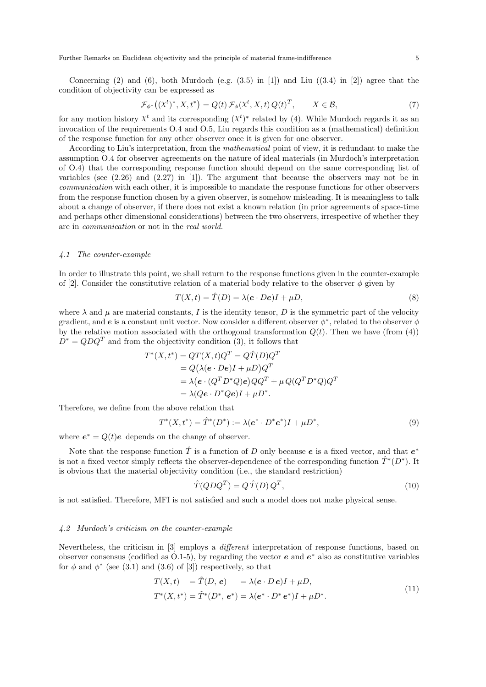Further Remarks on Euclidean objectivity and the principle of material frame-indifference 5

Concerning (2) and (6), both Murdoch (e.g.  $(3.5)$  in [1]) and Liu  $((3.4)$  in [2]) agree that the condition of objectivity can be expressed as

$$
\mathcal{F}_{\phi^*}\big((\chi^t)^*, X, t^*\big) = Q(t) \,\mathcal{F}_{\phi}\big(\chi^t, X, t\big) \, Q(t)^T, \qquad X \in \mathcal{B},\tag{7}
$$

for any motion history  $\chi^t$  and its corresponding  $(\chi^t)^*$  related by (4). While Murdoch regards it as an invocation of the requirements O.4 and O.5, Liu regards this condition as a (mathematical) definition of the response function for any other observer once it is given for one observer.

According to Liu's interpretation, from the mathematical point of view, it is redundant to make the assumption O.4 for observer agreements on the nature of ideal materials (in Murdoch's interpretation of O.4) that the corresponding response function should depend on the same corresponding list of variables (see (2.26) and (2.27) in [1]). The argument that because the observers may not be in communication with each other, it is impossible to mandate the response functions for other observers from the response function chosen by a given observer, is somehow misleading. It is meaningless to talk about a change of observer, if there does not exist a known relation (in prior agreements of space-time and perhaps other dimensional considerations) between the two observers, irrespective of whether they are in communication or not in the real world.

## 4.1 The counter-example

In order to illustrate this point, we shall return to the response functions given in the counter-example of [2]. Consider the constitutive relation of a material body relative to the observer  $\phi$  given by

$$
T(X,t) = \hat{T}(D) = \lambda(e \cdot De)I + \mu D,\tag{8}
$$

where  $\lambda$  and  $\mu$  are material constants, I is the identity tensor, D is the symmetric part of the velocity gradient, and  $e$  is a constant unit vector. Now consider a different observer  $\phi^*$ , related to the observer  $\phi$ by the relative motion associated with the orthogonal transformation  $Q(t)$ . Then we have (from (4))  $D^* = QDQ^T$  and from the objectivity condition (3), it follows that

$$
T^*(X, t^*) = QT(X, t)Q^T = Q\hat{T}(D)Q^T
$$
  
=  $Q(\lambda(e \cdot De)I + \mu D)Q^T$   
=  $\lambda(e \cdot (Q^T D^* Q)e)QQ^T + \mu Q(Q^T D^* Q)Q^T$   
=  $\lambda(Qe \cdot D^* Qe)I + \mu D^*.$ 

Therefore, we define from the above relation that

$$
T^*(X, t^*) = \hat{T}^*(D^*) := \lambda(e^* \cdot D^*e^*)I + \mu D^*,\tag{9}
$$

where  $e^* = Q(t)e$  depends on the change of observer.

Note that the response function  $\hat{T}$  is a function of D only because e is a fixed vector, and that  $e^*$ is not a fixed vector simply reflects the observer-dependence of the corresponding function  $\hat{T}^*(D^*)$ . It is obvious that the material objectivity condition (i.e., the standard restriction)

$$
\hat{T}(QDQ^T) = Q \hat{T}(D) Q^T,\tag{10}
$$

is not satisfied. Therefore, MFI is not satisfied and such a model does not make physical sense.

#### 4.2 Murdoch's criticism on the counter-example

Nevertheless, the criticism in [3] employs a different interpretation of response functions, based on observer consensus (codified as  $\dot{O}.1-5$ ), by regarding the vector  $e$  and  $e^*$  also as constitutive variables for  $\phi$  and  $\phi^*$  (see (3.1) and (3.6) of [3]) respectively, so that

$$
T(X,t) = \tilde{T}(D, e) = \lambda(e \cdot De)I + \mu D,
$$
  
\n
$$
T^*(X,t^*) = \tilde{T}^*(D^*, e^*) = \lambda(e^* \cdot D^* e^*)I + \mu D^*.
$$
\n(11)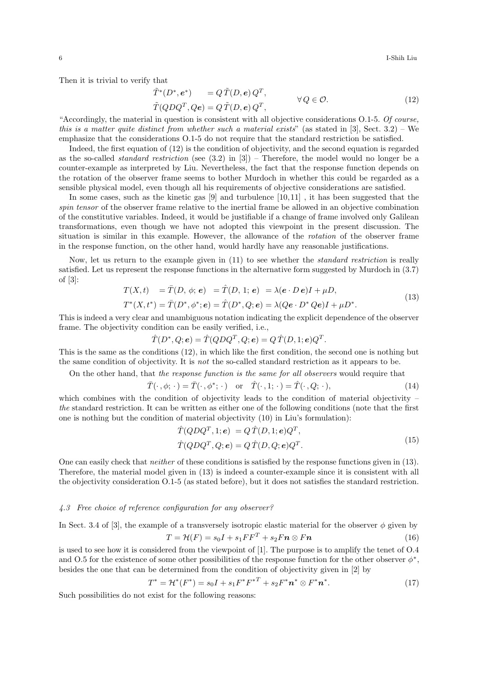6 I-Shih Liu

Then it is trivial to verify that

$$
\tilde{T}^*(D^*, e^*) = Q \tilde{T}(D, e) Q^T, \n\tilde{T}(Q D Q^T, Q e) = Q \tilde{T}(D, e) Q^T, \qquad \forall Q \in \mathcal{O}.
$$
\n(12)

"Accordingly, the material in question is consistent with all objective considerations O.1-5. Of course, this is a matter quite distinct from whether such a material exists" (as stated in  $[3]$ , Sect. 3.2) – We emphasize that the considerations O.1-5 do not require that the standard restriction be satisfied.

Indeed, the first equation of (12) is the condition of objectivity, and the second equation is regarded as the so-called *standard restriction* (see  $(3.2)$  in  $[3]$ ) – Therefore, the model would no longer be a counter-example as interpreted by Liu. Nevertheless, the fact that the response function depends on the rotation of the observer frame seems to bother Murdoch in whether this could be regarded as a sensible physical model, even though all his requirements of objective considerations are satisfied.

In some cases, such as the kinetic gas [9] and turbulence [10,11] , it has been suggested that the spin tensor of the observer frame relative to the inertial frame be allowed in an objective combination of the constitutive variables. Indeed, it would be justifiable if a change of frame involved only Galilean transformations, even though we have not adopted this viewpoint in the present discussion. The situation is similar in this example. However, the allowance of the rotation of the observer frame in the response function, on the other hand, would hardly have any reasonable justifications.

Now, let us return to the example given in  $(11)$  to see whether the *standard restriction* is really satisfied. Let us represent the response functions in the alternative form suggested by Murdoch in (3.7) of [3]:

$$
T(X,t) = \overline{T}(D,\phi;e) = \hat{T}(D,1;e) = \lambda(e \cdot De)I + \mu D,
$$
  
\n
$$
T^*(X,t^*) = \overline{T}(D^*,\phi^*;e) = \hat{T}(D^*,Q;e) = \lambda(Qe \cdot D^*Qe)I + \mu D^*.
$$
\n(13)

This is indeed a very clear and unambiguous notation indicating the explicit dependence of the observer frame. The objectivity condition can be easily verified, i.e.,

$$
\hat{T}(D^*,Q;\boldsymbol e)=\hat{T}(QDQ^T,Q;\boldsymbol e)=Q\,\hat{T}(D,1;\boldsymbol e)Q^T.
$$

This is the same as the conditions (12), in which like the first condition, the second one is nothing but the same condition of objectivity. It is not the so-called standard restriction as it appears to be.

On the other hand, that the response function is the same for all observers would require that

$$
\bar{T}(\cdot,\phi;\cdot) = \bar{T}(\cdot,\phi^*;\cdot) \quad \text{or} \quad \hat{T}(\cdot,1;\cdot) = \hat{T}(\cdot,Q;\cdot),\tag{14}
$$

which combines with the condition of objectivity leads to the condition of material objectivity – the standard restriction. It can be written as either one of the following conditions (note that the first one is nothing but the condition of material objectivity (10) in Liu's formulation):

$$
\hat{T}(QDQ^T, 1; e) = Q \hat{T}(D, 1; e)Q^T,
$$
\n
$$
\hat{T}(QDQ^T, Q; e) = Q \hat{T}(D, Q; e)Q^T.
$$
\n(15)

One can easily check that neither of these conditions is satisfied by the response functions given in (13). Therefore, the material model given in (13) is indeed a counter-example since it is consistent with all the objectivity consideration O.1-5 (as stated before), but it does not satisfies the standard restriction.

#### 4.3 Free choice of reference configuration for any observer?

In Sect. 3.4 of [3], the example of a transversely isotropic elastic material for the observer  $\phi$  given by

$$
T = \mathcal{H}(F) = s_0 I + s_1 F F^T + s_2 F n \otimes F n \tag{16}
$$

is used to see how it is considered from the viewpoint of [1]. The purpose is to amplify the tenet of O.4 and O.5 for the existence of some other possibilities of the response function for the other observer  $\phi^*$ , besides the one that can be determined from the condition of objectivity given in [2] by

$$
T^* = \mathcal{H}^*(F^*) = s_0 I + s_1 F^* F^{*T} + s_2 F^* \mathbf{n}^* \otimes F^* \mathbf{n}^*.
$$
 (17)

Such possibilities do not exist for the following reasons: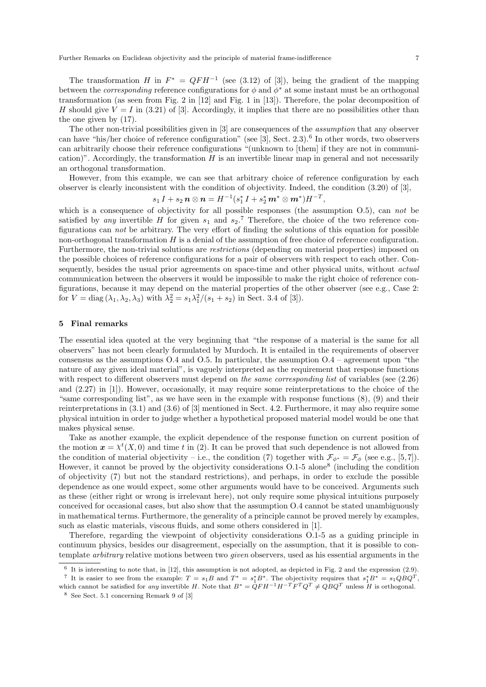Further Remarks on Euclidean objectivity and the principle of material frame-indifference 7

The transformation H in  $F^* = QFH^{-1}$  (see (3.12) of [3]), being the gradient of the mapping between the *corresponding* reference configurations for  $\phi$  and  $\phi^*$  at some instant must be an orthogonal transformation (as seen from Fig. 2 in [12] and Fig. 1 in [13]). Therefore, the polar decomposition of H should give  $V = I$  in (3.21) of [3]. Accordingly, it implies that there are no possibilities other than the one given by (17).

The other non-trivial possibilities given in [3] are consequences of the assumption that any observer can have "his/her choice of reference configuration" (see [3], Sect. 2.3).<sup>6</sup> In other words, two observers can arbitrarily choose their reference configurations "(unknown to [them] if they are not in communication)". Accordingly, the transformation  $H$  is an invertible linear map in general and not necessarily an orthogonal transformation.

However, from this example, we can see that arbitrary choice of reference configuration by each observer is clearly inconsistent with the condition of objectivity. Indeed, the condition (3.20) of [3],

$$
s_1 I + s_2 n \otimes n = H^{-1}(s_1^* I + s_2^* m^* \otimes m^*) H^{-T},
$$

which is a consequence of objectivity for all possible responses (the assumption  $(0.5)$ ), can not be satisfied by any invertible H for given  $s_1$  and  $s_2$ .<sup>7</sup> Therefore, the choice of the two reference configurations can not be arbitrary. The very effort of finding the solutions of this equation for possible non-orthogonal transformation H is a denial of the assumption of free choice of reference configuration. Furthermore, the non-trivial solutions are restrictions (depending on material properties) imposed on the possible choices of reference configurations for a pair of observers with respect to each other. Consequently, besides the usual prior agreements on space-time and other physical units, without *actual* communication between the observers it would be impossible to make the right choice of reference configurations, because it may depend on the material properties of the other observer (see e.g., Case 2: for  $V = \text{diag}(\lambda_1, \lambda_2, \lambda_3)$  with  $\lambda_2^2 = s_1 \lambda_1^2/(s_1 + s_2)$  in Sect. 3.4 of [3]).

## 5 Final remarks

The essential idea quoted at the very beginning that "the response of a material is the same for all observers" has not been clearly formulated by Murdoch. It is entailed in the requirements of observer consensus as the assumptions  $O.4$  and  $O.5$ . In particular, the assumption  $O.4$  – agreement upon "the nature of any given ideal material", is vaguely interpreted as the requirement that response functions with respect to different observers must depend on the same corresponding list of variables (see  $(2.26)$ ) and (2.27) in [1]). However, occasionally, it may require some reinterpretations to the choice of the "same corresponding list", as we have seen in the example with response functions (8), (9) and their reinterpretations in  $(3.1)$  and  $(3.6)$  of [3] mentioned in Sect. 4.2. Furthermore, it may also require some physical intuition in order to judge whether a hypothetical proposed material model would be one that makes physical sense.

Take as another example, the explicit dependence of the response function on current position of the motion  $x = \chi^t(X,0)$  and time t in (2). It can be proved that such dependence is not allowed from the condition of material objectivity – i.e., the condition (7) together with  $\mathcal{F}_{\phi^*} = \mathcal{F}_{\phi}$  (see e.g., [5,7]). However, it cannot be proved by the objectivity considerations O.1-5 alone<sup>8</sup> (including the condition of objectivity (7) but not the standard restrictions), and perhaps, in order to exclude the possible dependence as one would expect, some other arguments would have to be conceived. Arguments such as these (either right or wrong is irrelevant here), not only require some physical intuitions purposely conceived for occasional cases, but also show that the assumption O.4 cannot be stated unambiguously in mathematical terms. Furthermore, the generality of a principle cannot be proved merely by examples, such as elastic materials, viscous fluids, and some others considered in [1].

Therefore, regarding the viewpoint of objectivity considerations O.1-5 as a guiding principle in continuum physics, besides our disagreement, especially on the assumption, that it is possible to contemplate arbitrary relative motions between two given observers, used as his essential arguments in the

<sup>6</sup> It is interesting to note that, in [12], this assumption is not adopted, as depicted in Fig. 2 and the expression (2.9). <sup>7</sup> It is easier to see from the example:  $T = s_1 B$  and  $T^* = s_1^* B^*$ . The objectivity requires that  $s_1^* B^* = s_1 Q B Q^T$ ,

which cannot be satisfied for any invertible H. Note that  $B^* = QFH^{-1}H^{-T}F^TQ^T \neq QBQ^T$  unless H is orthogonal. <sup>8</sup> See Sect. 5.1 concerning Remark 9 of [3]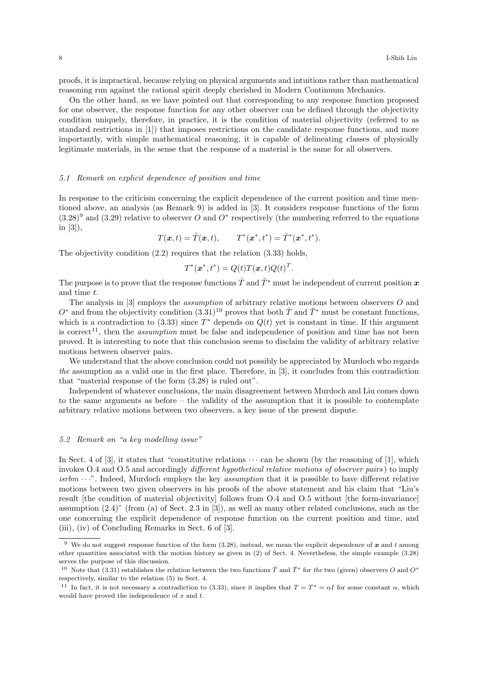proofs, it is impractical, because relying on physical arguments and intuitions rather than mathematical reasoning run against the rational spirit deeply cherished in Modern Continuum Mechanics.

On the other hand, as we have pointed out that corresponding to any response function proposed for one observer, the response function for any other observer can be defined through the objectivity condition uniquely, therefore, in practice, it is the condition of material objectivity (referred to as standard restrictions in [1]) that imposes restrictions on the candidate response functions, and more importantly, with simple mathematical reasoning, it is capable of delineating classes of physically legitimate materials, in the sense that the response of a material is the same for all observers.

## 5.1 Remark on explicit dependence of position and time

In response to the criticism concerning the explicit dependence of the current position and time mentioned above, an analysis (as Remark 9) is added in [3]. It considers response functions of the form  $(3.28)^9$  and  $(3.29)$  relative to observer O and O<sup>\*</sup> respectively (the numbering referred to the equations in [3]),

$$
T(\boldsymbol{x},t) = \hat{T}(\boldsymbol{x},t), \qquad T^*(\boldsymbol{x}^*,t^*) = \breve{T}^*(\boldsymbol{x}^*,t^*).
$$

The objectivity condition (2.2) requires that the relation (3.33) holds,

$$
T^*(\boldsymbol{x}^*,t^*) = Q(t)T(\boldsymbol{x},t)Q(t)^T.
$$

The purpose is to prove that the response functions  $\hat{T}$  and  $\check{T}^*$  must be independent of current position x and time t.

The analysis in [3] employs the *assumption* of arbitrary relative motions between observers O and  $O^*$  and from the objectivity condition  $(3.31)^{10}$  proves that both  $\hat{T}$  and  $\check{T}^*$  must be constant functions, which is a contradiction to (3.33) since  $T^*$  depends on  $Q(t)$  yet is constant in time. If this argument is correct<sup>11</sup>, then the *assumption* must be false and independence of position and time has not been proved. It is interesting to note that this conclusion seems to disclaim the validity of arbitrary relative motions between observer pairs.

We understand that the above conclusion could not possibly be appreciated by Murdoch who regards the assumption as a valid one in the first place. Therefore, in [3], it concludes from this contradiction that "material response of the form (3.28) is ruled out".

Independent of whatever conclusions, the main disagreement between Murdoch and Liu comes down to the same arguments as before – the validity of the assumption that it is possible to contemplate arbitrary relative motions between two observers, a key issue of the present dispute.

#### 5.2 Remark on "a key modelling issue"

In Sect. 4 of [3], it states that "constitutive relations  $\cdots$  can be shown (by the reasoning of [1], which invokes O.4 and O.5 and accordingly different hypothetical relative motions of observer pairs ) to imply isrbm  $\cdots$ . Indeed, Murdoch employs the key assumption that it is possible to have different relative motions between two given observers in his proofs of the above statement and his claim that "Liu's result [the condition of material objectivity] follows from O.4 and O.5 without [the form-invariance] assumption (2.4)" (from (a) of Sect. 2.3 in [3]), as well as many other related conclusions, such as the one concerning the explicit dependence of response function on the current position and time, and (iii), (iv) of Concluding Remarks in Sect. 6 of [3].

<sup>&</sup>lt;sup>9</sup> We do not suggest response function of the form (3.28), instead, we mean the explicit dependence of  $x$  and  $t$  among other quantities associated with the motion history as given in (2) of Sect. 4. Nevertheless, the simple example (3.28) serves the purpose of this discussion.

<sup>&</sup>lt;sup>10</sup> Note that (3.31) establishes the relation between the two functions  $\hat{T}$  and  $\check{T}^*$  for the two (given) observers O and  $O^*$ respectively, similar to the relation (5) in Sect. 4.

<sup>&</sup>lt;sup>11</sup> In fact, it is not necessary a contradiction to (3.33), since it implies that  $T = T^* = \alpha I$  for some constant  $\alpha$ , which would have proved the independence of  $x$  and  $t$ .